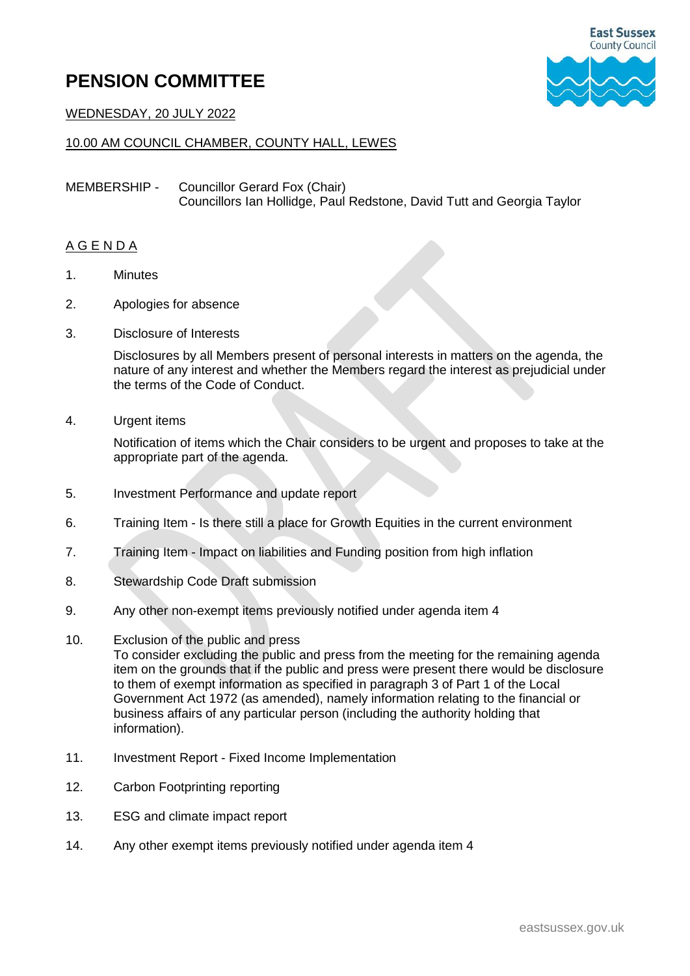## **PENSION COMMITTEE**



WEDNESDAY, 20 JULY 2022

## 10.00 AM COUNCIL CHAMBER, COUNTY HALL, LEWES

MEMBERSHIP - Councillor Gerard Fox (Chair) Councillors Ian Hollidge, Paul Redstone, David Tutt and Georgia Taylor

## A G E N D A

- 1. Minutes
- 2. Apologies for absence
- 3. Disclosure of Interests

Disclosures by all Members present of personal interests in matters on the agenda, the nature of any interest and whether the Members regard the interest as prejudicial under the terms of the Code of Conduct.

4. Urgent items

Notification of items which the Chair considers to be urgent and proposes to take at the appropriate part of the agenda.

- 5. Investment Performance and update report
- 6. Training Item Is there still a place for Growth Equities in the current environment
- 7. Training Item Impact on liabilities and Funding position from high inflation
- 8. Stewardship Code Draft submission
- 9. Any other non-exempt items previously notified under agenda item 4
- 10. Exclusion of the public and press

To consider excluding the public and press from the meeting for the remaining agenda item on the grounds that if the public and press were present there would be disclosure to them of exempt information as specified in paragraph 3 of Part 1 of the Local Government Act 1972 (as amended), namely information relating to the financial or business affairs of any particular person (including the authority holding that information).

- 11. Investment Report Fixed Income Implementation
- 12. Carbon Footprinting reporting
- 13. ESG and climate impact report
- 14. Any other exempt items previously notified under agenda item 4